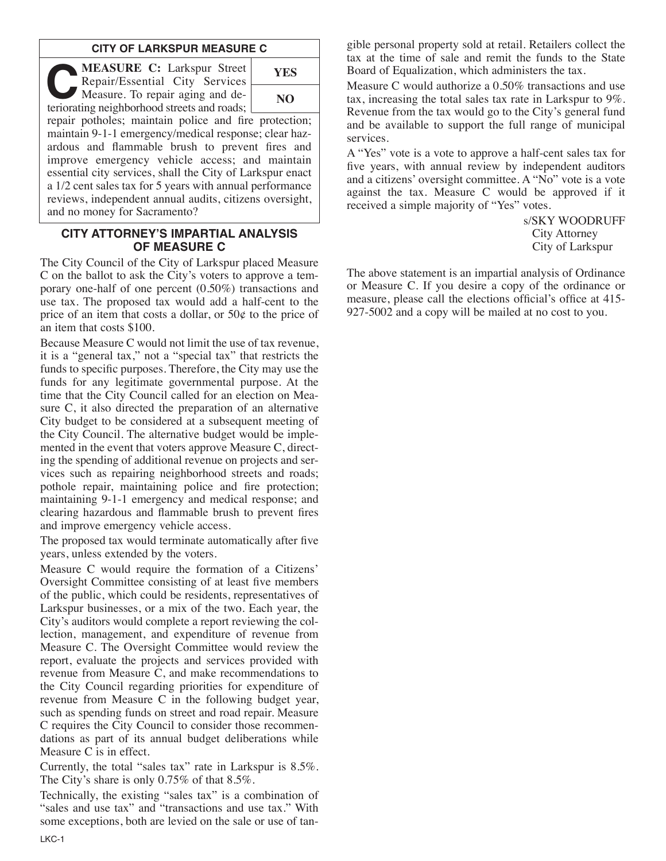#### **CITY OF LARKSPUR MEASURE C**

**C:** Larkspur Street<br>
Repair/Essential City Services<br>
Measure. To repair aging and de-<br>
teriorating peighborhood streets and roads: Repair/Essential City Services teriorating neighborhood streets and roads;



repair potholes; maintain police and fire protection; maintain 9-1-1 emergency/medical response; clear hazardous and flammable brush to prevent fires and improve emergency vehicle access; and maintain essential city services, shall the City of Larkspur enact a 1/2 cent sales tax for 5 years with annual performance reviews, independent annual audits, citizens oversight, and no money for Sacramento?

#### **CITY ATTORNEY'S IMPARTIAL ANALYSIS OF MEASURE C**

The City Council of the City of Larkspur placed Measure C on the ballot to ask the City's voters to approve a temporary one-half of one percent (0.50%) transactions and use tax. The proposed tax would add a half-cent to the price of an item that costs a dollar, or  $50¢$  to the price of an item that costs \$100.

Because Measure C would not limit the use of tax revenue, it is a "general tax," not a "special tax" that restricts the funds to specific purposes. Therefore, the City may use the funds for any legitimate governmental purpose. At the time that the City Council called for an election on Measure C, it also directed the preparation of an alternative City budget to be considered at a subsequent meeting of the City Council. The alternative budget would be implemented in the event that voters approve Measure C, directing the spending of additional revenue on projects and services such as repairing neighborhood streets and roads; pothole repair, maintaining police and fire protection; maintaining 9-1-1 emergency and medical response; and clearing hazardous and flammable brush to prevent fires and improve emergency vehicle access.

The proposed tax would terminate automatically after five years, unless extended by the voters.

Measure C would require the formation of a Citizens' Oversight Committee consisting of at least five members of the public, which could be residents, representatives of Larkspur businesses, or a mix of the two. Each year, the City's auditors would complete a report reviewing the collection, management, and expenditure of revenue from Measure C. The Oversight Committee would review the report, evaluate the projects and services provided with revenue from Measure C, and make recommendations to the City Council regarding priorities for expenditure of revenue from Measure C in the following budget year, such as spending funds on street and road repair. Measure C requires the City Council to consider those recommendations as part of its annual budget deliberations while Measure C is in effect.

Currently, the total "sales tax" rate in Larkspur is 8.5%. The City's share is only 0.75% of that 8.5%.

Technically, the existing "sales tax" is a combination of "sales and use tax" and "transactions and use tax." With some exceptions, both are levied on the sale or use of tangible personal property sold at retail. Retailers collect the tax at the time of sale and remit the funds to the State Board of Equalization, which administers the tax.

Measure C would authorize a 0.50% transactions and use tax, increasing the total sales tax rate in Larkspur to 9%. Revenue from the tax would go to the City's general fund and be available to support the full range of municipal services.

A "Yes" vote is a vote to approve a half-cent sales tax for five years, with annual review by independent auditors and a citizens' oversight committee. A "No" vote is a vote against the tax. Measure C would be approved if it received a simple majority of "Yes" votes.

> s/SKY WOODRUFF City Attorney City of Larkspur

The above statement is an impartial analysis of Ordinance or Measure C. If you desire a copy of the ordinance or measure, please call the elections official's office at 415- 927-5002 and a copy will be mailed at no cost to you.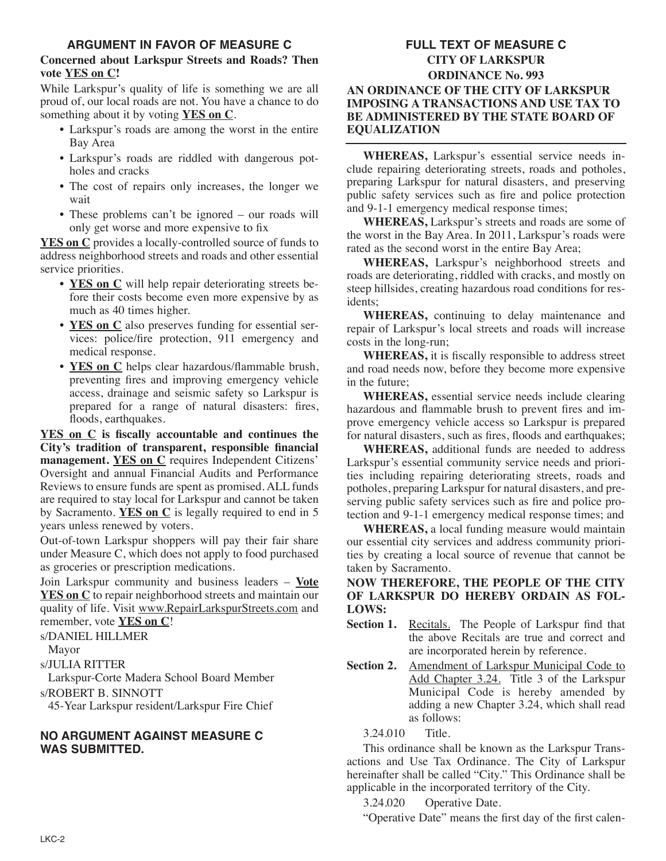## **ARGUMENT IN FAVOR OF MEASURE C**

#### **Concerned about Larkspur Streets and Roads? Then vote YES on C!**

While Larkspur's quality of life is something we are all proud of, our local roads are not. You have a chance to do something about it by voting **YES on C**.

- Larkspur's roads are among the worst in the entire Bay Area
- Larkspur's roads are riddled with dangerous potholes and cracks
- The cost of repairs only increases, the longer we wait
- These problems can't be ignored our roads will only get worse and more expensive to fix

**YES on C** provides a locally-controlled source of funds to address neighborhood streets and roads and other essential service priorities.

- **YES on C** will help repair deteriorating streets before their costs become even more expensive by as much as 40 times higher.
- **YES on C** also preserves funding for essential services: police/fire protection, 911 emergency and medical response.
- **YES on C** helps clear hazardous/flammable brush, preventing fires and improving emergency vehicle access, drainage and seismic safety so Larkspur is prepared for a range of natural disasters: fires, floods, earthquakes.

**YES on C is fiscally accountable and continues the City's tradition of transparent, responsible financial management. YES on C** requires Independent Citizens' Oversight and annual Financial Audits and Performance Reviews to ensure funds are spent as promised. ALL funds are required to stay local for Larkspur and cannot be taken by Sacramento. **YES on C** is legally required to end in 5 years unless renewed by voters.

Out-of-town Larkspur shoppers will pay their fair share under Measure C, which does not apply to food purchased as groceries or prescription medications.

Join Larkspur community and business leaders – **Vote YES on C** to repair neighborhood streets and maintain our quality of life. Visit www.RepairLarkspurStreets.com and remember, vote **YES on C**!

s/DANIEL HILLMER

Mayor

s/JULIA RITTER

Larkspur-Corte Madera School Board Member s/ROBERT B. SINNOTT

45-Year Larkspur resident/Larkspur Fire Chief

#### **NO ARGUMENT AGAINST MEASURE C WAS SUBMITTED.**

## **FULL TEXT OF MEASURE C CITY OF LARKSPUR ORDINANCE No. 993 AN ORDINANCE OF THE CITY OF LARKSPUR IMPOSING A TRANSACTIONS AND USE TAX TO BE ADMINISTERED BY THE STATE BOARD OF EQUALIZATION**

**WHEREAS,** Larkspur's essential service needs include repairing deteriorating streets, roads and potholes, preparing Larkspur for natural disasters, and preserving public safety services such as fire and police protection and 9-1-1 emergency medical response times;

**WHEREAS,** Larkspur's streets and roads are some of the worst in the Bay Area. In 2011, Larkspur's roads were rated as the second worst in the entire Bay Area;

**WHEREAS,** Larkspur's neighborhood streets and roads are deteriorating, riddled with cracks, and mostly on steep hillsides, creating hazardous road conditions for residents;

**WHEREAS,** continuing to delay maintenance and repair of Larkspur's local streets and roads will increase costs in the long-run;

**WHEREAS,** it is fiscally responsible to address street and road needs now, before they become more expensive in the future;

**WHEREAS,** essential service needs include clearing hazardous and flammable brush to prevent fires and improve emergency vehicle access so Larkspur is prepared for natural disasters, such as fires, floods and earthquakes;

**WHEREAS,** additional funds are needed to address Larkspur's essential community service needs and priorities including repairing deteriorating streets, roads and potholes, preparing Larkspur for natural disasters, and preserving public safety services such as fire and police protection and 9-1-1 emergency medical response times; and

**WHEREAS,** a local funding measure would maintain our essential city services and address community priorities by creating a local source of revenue that cannot be taken by Sacramento.

#### **NOW THEREFORE, THE PEOPLE OF THE CITY OF LARKSPUR DO HEREBY ORDAIN AS FOL-LOWS:**

- Section 1. Recitals. The People of Larkspur find that the above Recitals are true and correct and are incorporated herein by reference.
- **Section 2.** Amendment of Larkspur Municipal Code to Add Chapter 3.24. Title 3 of the Larkspur Municipal Code is hereby amended by adding a new Chapter 3.24, which shall read as follows:

3.24.010 Title.

This ordinance shall be known as the Larkspur Transactions and Use Tax Ordinance. The City of Larkspur hereinafter shall be called "City." This Ordinance shall be applicable in the incorporated territory of the City.

3.24.020 Operative Date.

"Operative Date" means the first day of the first calen-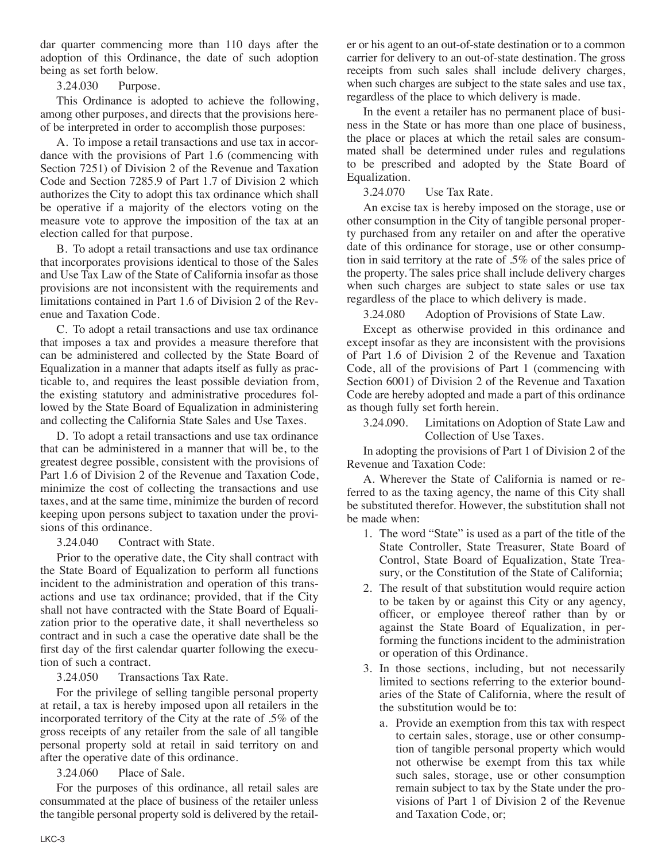dar quarter commencing more than 110 days after the adoption of this Ordinance, the date of such adoption being as set forth below.

3.24.030 Purpose.

This Ordinance is adopted to achieve the following, among other purposes, and directs that the provisions hereof be interpreted in order to accomplish those purposes:

A. To impose a retail transactions and use tax in accordance with the provisions of Part 1.6 (commencing with Section 7251) of Division 2 of the Revenue and Taxation Code and Section 7285.9 of Part 1.7 of Division 2 which authorizes the City to adopt this tax ordinance which shall be operative if a majority of the electors voting on the measure vote to approve the imposition of the tax at an election called for that purpose.

B. To adopt a retail transactions and use tax ordinance that incorporates provisions identical to those of the Sales and Use Tax Law of the State of California insofar as those provisions are not inconsistent with the requirements and limitations contained in Part 1.6 of Division 2 of the Revenue and Taxation Code.

C. To adopt a retail transactions and use tax ordinance that imposes a tax and provides a measure therefore that can be administered and collected by the State Board of Equalization in a manner that adapts itself as fully as practicable to, and requires the least possible deviation from, the existing statutory and administrative procedures followed by the State Board of Equalization in administering and collecting the California State Sales and Use Taxes.

D. To adopt a retail transactions and use tax ordinance that can be administered in a manner that will be, to the greatest degree possible, consistent with the provisions of Part 1.6 of Division 2 of the Revenue and Taxation Code, minimize the cost of collecting the transactions and use taxes, and at the same time, minimize the burden of record keeping upon persons subject to taxation under the provisions of this ordinance.

3.24.040 Contract with State.

Prior to the operative date, the City shall contract with the State Board of Equalization to perform all functions incident to the administration and operation of this transactions and use tax ordinance; provided, that if the City shall not have contracted with the State Board of Equalization prior to the operative date, it shall nevertheless so contract and in such a case the operative date shall be the first day of the first calendar quarter following the execution of such a contract.

3.24.050 Transactions Tax Rate.

For the privilege of selling tangible personal property at retail, a tax is hereby imposed upon all retailers in the incorporated territory of the City at the rate of .5% of the gross receipts of any retailer from the sale of all tangible personal property sold at retail in said territory on and after the operative date of this ordinance.

3.24.060 Place of Sale.

For the purposes of this ordinance, all retail sales are consummated at the place of business of the retailer unless the tangible personal property sold is delivered by the retailer or his agent to an out-of-state destination or to a common carrier for delivery to an out-of-state destination. The gross receipts from such sales shall include delivery charges, when such charges are subject to the state sales and use tax, regardless of the place to which delivery is made.

In the event a retailer has no permanent place of business in the State or has more than one place of business, the place or places at which the retail sales are consummated shall be determined under rules and regulations to be prescribed and adopted by the State Board of Equalization.

3.24.070 Use Tax Rate.

An excise tax is hereby imposed on the storage, use or other consumption in the City of tangible personal property purchased from any retailer on and after the operative date of this ordinance for storage, use or other consumption in said territory at the rate of .5% of the sales price of the property. The sales price shall include delivery charges when such charges are subject to state sales or use tax regardless of the place to which delivery is made.

3.24.080 Adoption of Provisions of State Law.

Except as otherwise provided in this ordinance and except insofar as they are inconsistent with the provisions of Part 1.6 of Division 2 of the Revenue and Taxation Code, all of the provisions of Part 1 (commencing with Section 6001) of Division 2 of the Revenue and Taxation Code are hereby adopted and made a part of this ordinance as though fully set forth herein.

3.24.090. Limitations on Adoption of State Law and Collection of Use Taxes.

In adopting the provisions of Part 1 of Division 2 of the Revenue and Taxation Code:

A. Wherever the State of California is named or referred to as the taxing agency, the name of this City shall be substituted therefor. However, the substitution shall not be made when:

- 1. The word "State" is used as a part of the title of the State Controller, State Treasurer, State Board of Control, State Board of Equalization, State Treasury, or the Constitution of the State of California;
- 2. The result of that substitution would require action to be taken by or against this City or any agency, officer, or employee thereof rather than by or against the State Board of Equalization, in performing the functions incident to the administration or operation of this Ordinance.
- 3. In those sections, including, but not necessarily limited to sections referring to the exterior boundaries of the State of California, where the result of the substitution would be to:
	- a. Provide an exemption from this tax with respect to certain sales, storage, use or other consumption of tangible personal property which would not otherwise be exempt from this tax while such sales, storage, use or other consumption remain subject to tax by the State under the provisions of Part 1 of Division 2 of the Revenue and Taxation Code, or;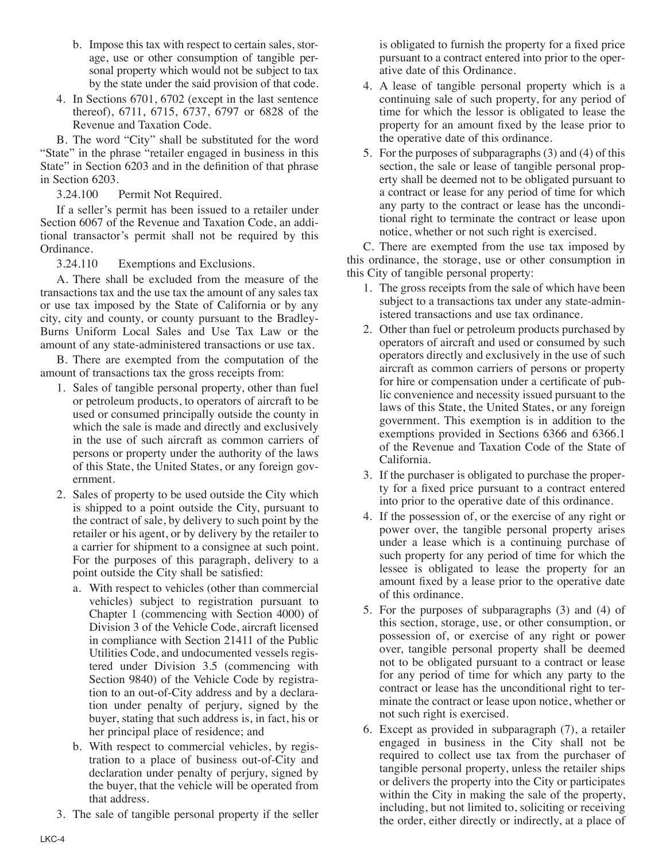- b. Impose this tax with respect to certain sales, storage, use or other consumption of tangible personal property which would not be subject to tax by the state under the said provision of that code.
- 4. In Sections 6701, 6702 (except in the last sentence thereof), 6711, 6715, 6737, 6797 or 6828 of the Revenue and Taxation Code.

B. The word "City" shall be substituted for the word "State" in the phrase "retailer engaged in business in this State" in Section 6203 and in the definition of that phrase in Section 6203.

3.24.100 Permit Not Required.

If a seller's permit has been issued to a retailer under Section 6067 of the Revenue and Taxation Code, an additional transactor's permit shall not be required by this Ordinance.

3.24.110 Exemptions and Exclusions.

A. There shall be excluded from the measure of the transactions tax and the use tax the amount of any sales tax or use tax imposed by the State of California or by any city, city and county, or county pursuant to the Bradley-Burns Uniform Local Sales and Use Tax Law or the amount of any state-administered transactions or use tax.

B. There are exempted from the computation of the amount of transactions tax the gross receipts from:

- 1. Sales of tangible personal property, other than fuel or petroleum products, to operators of aircraft to be used or consumed principally outside the county in which the sale is made and directly and exclusively in the use of such aircraft as common carriers of persons or property under the authority of the laws of this State, the United States, or any foreign government.
- 2. Sales of property to be used outside the City which is shipped to a point outside the City, pursuant to the contract of sale, by delivery to such point by the retailer or his agent, or by delivery by the retailer to a carrier for shipment to a consignee at such point. For the purposes of this paragraph, delivery to a point outside the City shall be satisfied:
	- a. With respect to vehicles (other than commercial vehicles) subject to registration pursuant to Chapter 1 (commencing with Section 4000) of Division 3 of the Vehicle Code, aircraft licensed in compliance with Section 21411 of the Public Utilities Code, and undocumented vessels registered under Division 3.5 (commencing with Section 9840) of the Vehicle Code by registration to an out-of-City address and by a declaration under penalty of perjury, signed by the buyer, stating that such address is, in fact, his or her principal place of residence; and
	- b. With respect to commercial vehicles, by registration to a place of business out-of-City and declaration under penalty of perjury, signed by the buyer, that the vehicle will be operated from that address.
- 3. The sale of tangible personal property if the seller

is obligated to furnish the property for a fixed price pursuant to a contract entered into prior to the operative date of this Ordinance.

- 4. A lease of tangible personal property which is a continuing sale of such property, for any period of time for which the lessor is obligated to lease the property for an amount fixed by the lease prior to the operative date of this ordinance.
- 5. For the purposes of subparagraphs (3) and (4) of this section, the sale or lease of tangible personal property shall be deemed not to be obligated pursuant to a contract or lease for any period of time for which any party to the contract or lease has the unconditional right to terminate the contract or lease upon notice, whether or not such right is exercised.

C. There are exempted from the use tax imposed by this ordinance, the storage, use or other consumption in this City of tangible personal property:

- 1. The gross receipts from the sale of which have been subject to a transactions tax under any state-administered transactions and use tax ordinance.
- 2. Other than fuel or petroleum products purchased by operators of aircraft and used or consumed by such operators directly and exclusively in the use of such aircraft as common carriers of persons or property for hire or compensation under a certificate of public convenience and necessity issued pursuant to the laws of this State, the United States, or any foreign government. This exemption is in addition to the exemptions provided in Sections 6366 and 6366.1 of the Revenue and Taxation Code of the State of California.
- 3. If the purchaser is obligated to purchase the property for a fixed price pursuant to a contract entered into prior to the operative date of this ordinance.
- 4. If the possession of, or the exercise of any right or power over, the tangible personal property arises under a lease which is a continuing purchase of such property for any period of time for which the lessee is obligated to lease the property for an amount fixed by a lease prior to the operative date of this ordinance.
- 5. For the purposes of subparagraphs (3) and (4) of this section, storage, use, or other consumption, or possession of, or exercise of any right or power over, tangible personal property shall be deemed not to be obligated pursuant to a contract or lease for any period of time for which any party to the contract or lease has the unconditional right to terminate the contract or lease upon notice, whether or not such right is exercised.
- 6. Except as provided in subparagraph (7), a retailer engaged in business in the City shall not be required to collect use tax from the purchaser of tangible personal property, unless the retailer ships or delivers the property into the City or participates within the City in making the sale of the property, including, but not limited to, soliciting or receiving the order, either directly or indirectly, at a place of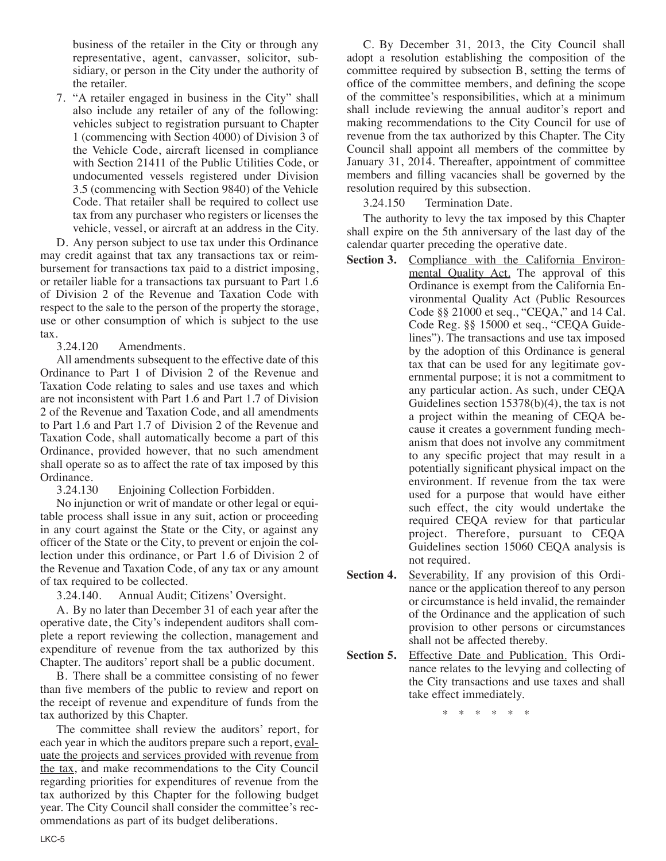business of the retailer in the City or through any representative, agent, canvasser, solicitor, subsidiary, or person in the City under the authority of the retailer.

7. "A retailer engaged in business in the City" shall also include any retailer of any of the following: vehicles subject to registration pursuant to Chapter 1 (commencing with Section 4000) of Division 3 of the Vehicle Code, aircraft licensed in compliance with Section 21411 of the Public Utilities Code, or undocumented vessels registered under Division 3.5 (commencing with Section 9840) of the Vehicle Code. That retailer shall be required to collect use tax from any purchaser who registers or licenses the vehicle, vessel, or aircraft at an address in the City.

D. Any person subject to use tax under this Ordinance may credit against that tax any transactions tax or reimbursement for transactions tax paid to a district imposing, or retailer liable for a transactions tax pursuant to Part 1.6 of Division 2 of the Revenue and Taxation Code with respect to the sale to the person of the property the storage, use or other consumption of which is subject to the use tax.

3.24.120 Amendments.

All amendments subsequent to the effective date of this Ordinance to Part 1 of Division 2 of the Revenue and Taxation Code relating to sales and use taxes and which are not inconsistent with Part 1.6 and Part 1.7 of Division 2 of the Revenue and Taxation Code, and all amendments to Part 1.6 and Part 1.7 of Division 2 of the Revenue and Taxation Code, shall automatically become a part of this Ordinance, provided however, that no such amendment shall operate so as to affect the rate of tax imposed by this Ordinance.

3.24.130 Enjoining Collection Forbidden.

No injunction or writ of mandate or other legal or equitable process shall issue in any suit, action or proceeding in any court against the State or the City, or against any officer of the State or the City, to prevent or enjoin the collection under this ordinance, or Part 1.6 of Division 2 of the Revenue and Taxation Code, of any tax or any amount of tax required to be collected.

3.24.140. Annual Audit; Citizens' Oversight.

A. By no later than December 31 of each year after the operative date, the City's independent auditors shall complete a report reviewing the collection, management and expenditure of revenue from the tax authorized by this Chapter. The auditors' report shall be a public document.

B. There shall be a committee consisting of no fewer than five members of the public to review and report on the receipt of revenue and expenditure of funds from the tax authorized by this Chapter.

The committee shall review the auditors' report, for each year in which the auditors prepare such a report, evaluate the projects and services provided with revenue from the tax, and make recommendations to the City Council regarding priorities for expenditures of revenue from the tax authorized by this Chapter for the following budget year. The City Council shall consider the committee's recommendations as part of its budget deliberations.

C. By December 31, 2013, the City Council shall adopt a resolution establishing the composition of the committee required by subsection B, setting the terms of office of the committee members, and defining the scope of the committee's responsibilities, which at a minimum shall include reviewing the annual auditor's report and making recommendations to the City Council for use of revenue from the tax authorized by this Chapter. The City Council shall appoint all members of the committee by January 31, 2014. Thereafter, appointment of committee members and filling vacancies shall be governed by the resolution required by this subsection.

3.24.150 Termination Date.

The authority to levy the tax imposed by this Chapter shall expire on the 5th anniversary of the last day of the calendar quarter preceding the operative date.

- **Section 3.** Compliance with the California Environmental Quality Act. The approval of this Ordinance is exempt from the California Environmental Quality Act (Public Resources Code §§ 21000 et seq., "CEQA," and 14 Cal. Code Reg. §§ 15000 et seq., "CEQA Guidelines"). The transactions and use tax imposed by the adoption of this Ordinance is general tax that can be used for any legitimate governmental purpose; it is not a commitment to any particular action. As such, under CEQA Guidelines section 15378(b)(4), the tax is not a project within the meaning of CEQA because it creates a government funding mechanism that does not involve any commitment to any specific project that may result in a potentially significant physical impact on the environment. If revenue from the tax were used for a purpose that would have either such effect, the city would undertake the required CEQA review for that particular project. Therefore, pursuant to CEQA Guidelines section 15060 CEQA analysis is not required.
- **Section 4.** Severability. If any provision of this Ordinance or the application thereof to any person or circumstance is held invalid, the remainder of the Ordinance and the application of such provision to other persons or circumstances shall not be affected thereby.
- **Section 5.** Effective Date and Publication. This Ordinance relates to the levying and collecting of the City transactions and use taxes and shall take effect immediately.

\* \* \* \* \* \*